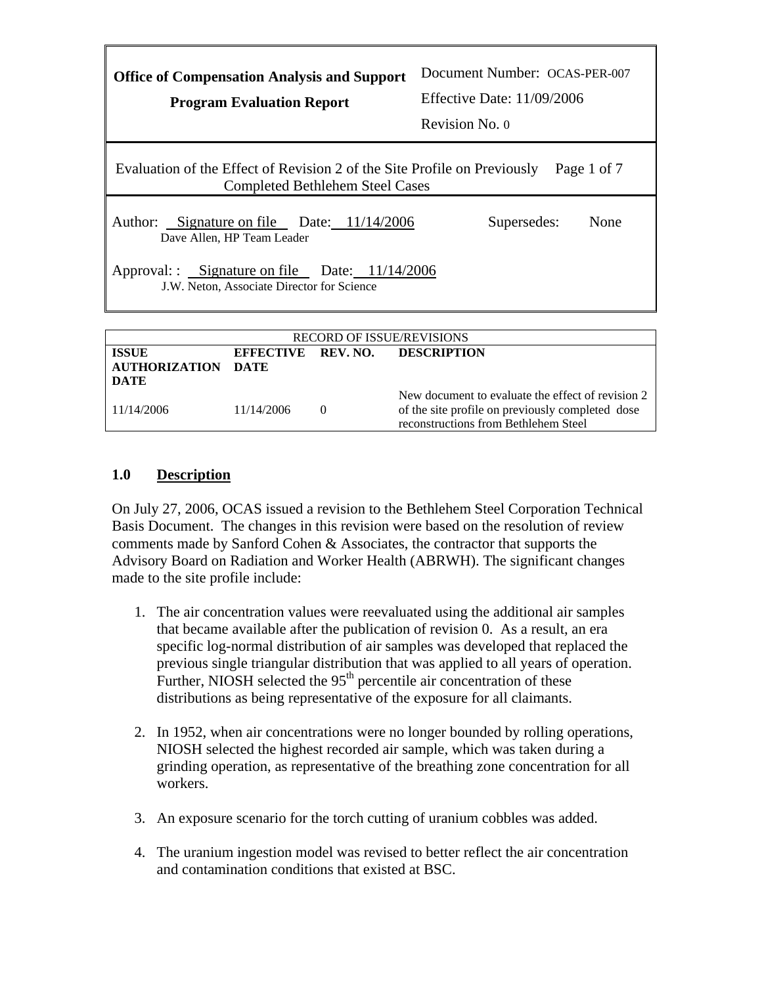| <b>Office of Compensation Analysis and Support</b><br><b>Program Evaluation Report</b>                                                                                 | Document Number: OCAS-PER-007<br>Effective Date: $11/09/2006$<br>Revision No. 0 |
|------------------------------------------------------------------------------------------------------------------------------------------------------------------------|---------------------------------------------------------------------------------|
| Evaluation of the Effect of Revision 2 of the Site Profile on Previously<br><b>Completed Bethlehem Steel Cases</b>                                                     | Page 1 of 7                                                                     |
| Author: Signature on file Date: 11/14/2006<br>Dave Allen, HP Team Leader<br>Approval: Signature on file Date: 11/14/2006<br>J.W. Neton, Associate Director for Science | Supersedes:<br>None                                                             |
|                                                                                                                                                                        |                                                                                 |

| <b>RECORD OF ISSUE/REVISIONS</b>     |                                   |          |                                                                                                                                               |
|--------------------------------------|-----------------------------------|----------|-----------------------------------------------------------------------------------------------------------------------------------------------|
| <b>ISSUE</b><br><b>AUTHORIZATION</b> | EFFECTIVE REV. NO.<br><b>DATE</b> |          | <b>DESCRIPTION</b>                                                                                                                            |
| DATE                                 |                                   |          |                                                                                                                                               |
| 11/14/2006                           | 11/14/2006                        | $\theta$ | New document to evaluate the effect of revision 2<br>of the site profile on previously completed dose<br>reconstructions from Bethlehem Steel |

## **1.0 Description**

On July 27, 2006, OCAS issued a revision to the Bethlehem Steel Corporation Technical Basis Document. The changes in this revision were based on the resolution of review comments made by Sanford Cohen & Associates, the contractor that supports the Advisory Board on Radiation and Worker Health (ABRWH). The significant changes made to the site profile include:

- 1. The air concentration values were reevaluated using the additional air samples that became available after the publication of revision 0. As a result, an era specific log-normal distribution of air samples was developed that replaced the previous single triangular distribution that was applied to all years of operation. Further, NIOSH selected the  $95<sup>th</sup>$  percentile air concentration of these distributions as being representative of the exposure for all claimants.
- 2. In 1952, when air concentrations were no longer bounded by rolling operations, NIOSH selected the highest recorded air sample, which was taken during a grinding operation, as representative of the breathing zone concentration for all workers.
- 3. An exposure scenario for the torch cutting of uranium cobbles was added.
- 4. The uranium ingestion model was revised to better reflect the air concentration and contamination conditions that existed at BSC.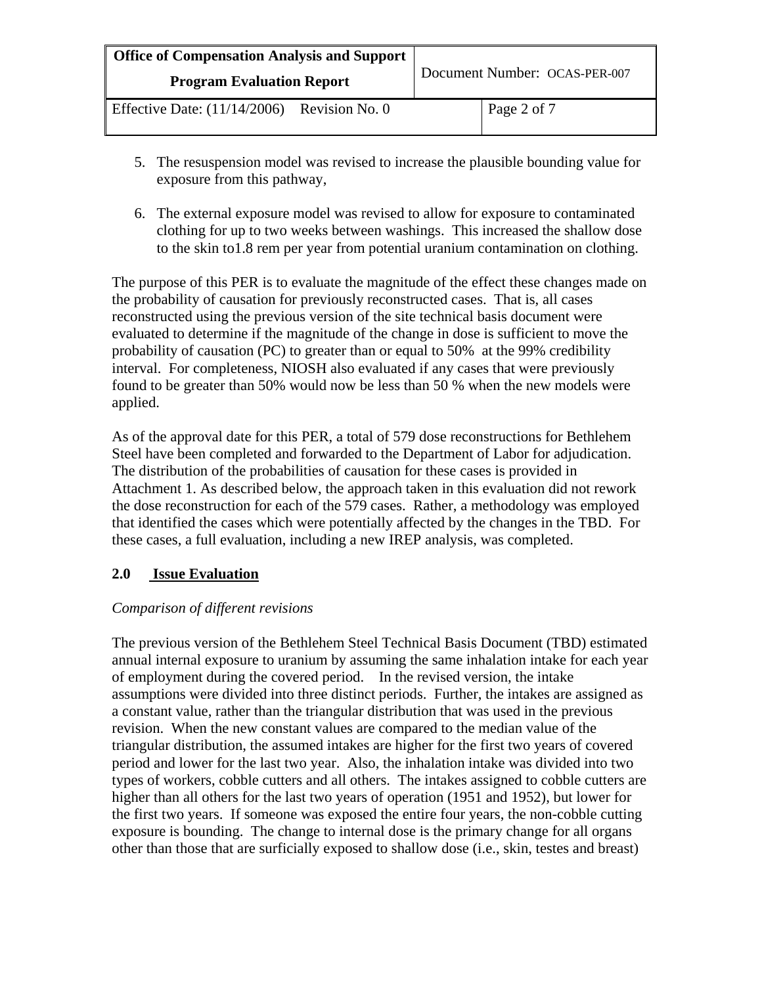| <b>Office of Compensation Analysis and Support</b><br><b>Program Evaluation Report</b> |  | Document Number: OCAS-PER-007 |  |
|----------------------------------------------------------------------------------------|--|-------------------------------|--|
|                                                                                        |  |                               |  |

- 5. The resuspension model was revised to increase the plausible bounding value for exposure from this pathway,
- 6. The external exposure model was revised to allow for exposure to contaminated clothing for up to two weeks between washings. This increased the shallow dose to the skin to1.8 rem per year from potential uranium contamination on clothing.

The purpose of this PER is to evaluate the magnitude of the effect these changes made on the probability of causation for previously reconstructed cases. That is, all cases reconstructed using the previous version of the site technical basis document were evaluated to determine if the magnitude of the change in dose is sufficient to move the probability of causation (PC) to greater than or equal to 50% at the 99% credibility interval. For completeness, NIOSH also evaluated if any cases that were previously found to be greater than 50% would now be less than 50 % when the new models were applied.

As of the approval date for this PER, a total of 579 dose reconstructions for Bethlehem Steel have been completed and forwarded to the Department of Labor for adjudication. The distribution of the probabilities of causation for these cases is provided in Attachment 1. As described below, the approach taken in this evaluation did not rework the dose reconstruction for each of the 579 cases. Rather, a methodology was employed that identified the cases which were potentially affected by the changes in the TBD. For these cases, a full evaluation, including a new IREP analysis, was completed.

# **2.0 Issue Evaluation**

## *Comparison of different revisions*

The previous version of the Bethlehem Steel Technical Basis Document (TBD) estimated annual internal exposure to uranium by assuming the same inhalation intake for each year of employment during the covered period. In the revised version, the intake assumptions were divided into three distinct periods. Further, the intakes are assigned as a constant value, rather than the triangular distribution that was used in the previous revision. When the new constant values are compared to the median value of the triangular distribution, the assumed intakes are higher for the first two years of covered period and lower for the last two year. Also, the inhalation intake was divided into two types of workers, cobble cutters and all others. The intakes assigned to cobble cutters are higher than all others for the last two years of operation (1951 and 1952), but lower for the first two years. If someone was exposed the entire four years, the non-cobble cutting exposure is bounding. The change to internal dose is the primary change for all organs other than those that are surficially exposed to shallow dose (i.e., skin, testes and breast)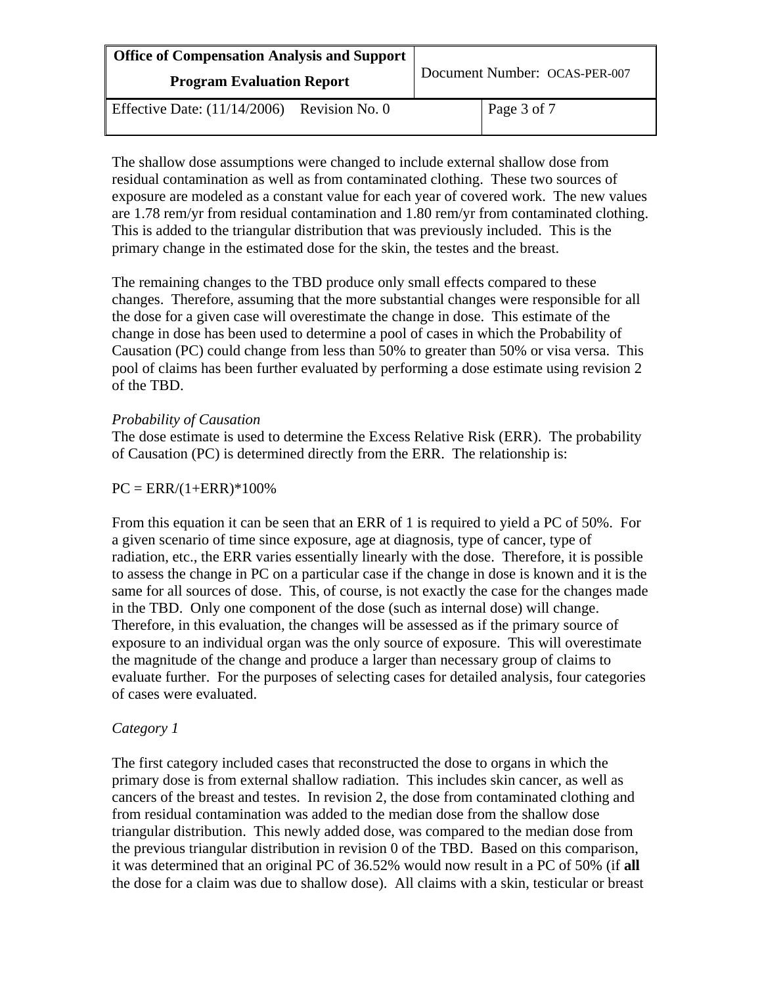| <b>Office of Compensation Analysis and Support</b><br><b>Program Evaluation Report</b> | Document Number: OCAS-PER-007 |
|----------------------------------------------------------------------------------------|-------------------------------|
| Effective Date: $(11/14/2006)$<br>Revision No. 0                                       | Page 3 of 7                   |

The shallow dose assumptions were changed to include external shallow dose from residual contamination as well as from contaminated clothing. These two sources of exposure are modeled as a constant value for each year of covered work. The new values are 1.78 rem/yr from residual contamination and 1.80 rem/yr from contaminated clothing. This is added to the triangular distribution that was previously included. This is the primary change in the estimated dose for the skin, the testes and the breast.

The remaining changes to the TBD produce only small effects compared to these changes. Therefore, assuming that the more substantial changes were responsible for all the dose for a given case will overestimate the change in dose. This estimate of the change in dose has been used to determine a pool of cases in which the Probability of Causation (PC) could change from less than 50% to greater than 50% or visa versa. This pool of claims has been further evaluated by performing a dose estimate using revision 2 of the TBD.

#### *Probability of Causation*

The dose estimate is used to determine the Excess Relative Risk (ERR). The probability of Causation (PC) is determined directly from the ERR. The relationship is:

#### $PC = ERR/(1+ERR)*100\%$

From this equation it can be seen that an ERR of 1 is required to yield a PC of 50%. For a given scenario of time since exposure, age at diagnosis, type of cancer, type of radiation, etc., the ERR varies essentially linearly with the dose. Therefore, it is possible to assess the change in PC on a particular case if the change in dose is known and it is the same for all sources of dose. This, of course, is not exactly the case for the changes made in the TBD. Only one component of the dose (such as internal dose) will change. Therefore, in this evaluation, the changes will be assessed as if the primary source of exposure to an individual organ was the only source of exposure. This will overestimate the magnitude of the change and produce a larger than necessary group of claims to evaluate further. For the purposes of selecting cases for detailed analysis, four categories of cases were evaluated.

## *Category 1*

The first category included cases that reconstructed the dose to organs in which the primary dose is from external shallow radiation. This includes skin cancer, as well as cancers of the breast and testes. In revision 2, the dose from contaminated clothing and from residual contamination was added to the median dose from the shallow dose triangular distribution. This newly added dose, was compared to the median dose from the previous triangular distribution in revision 0 of the TBD. Based on this comparison, it was determined that an original PC of 36.52% would now result in a PC of 50% (if **all** the dose for a claim was due to shallow dose). All claims with a skin, testicular or breast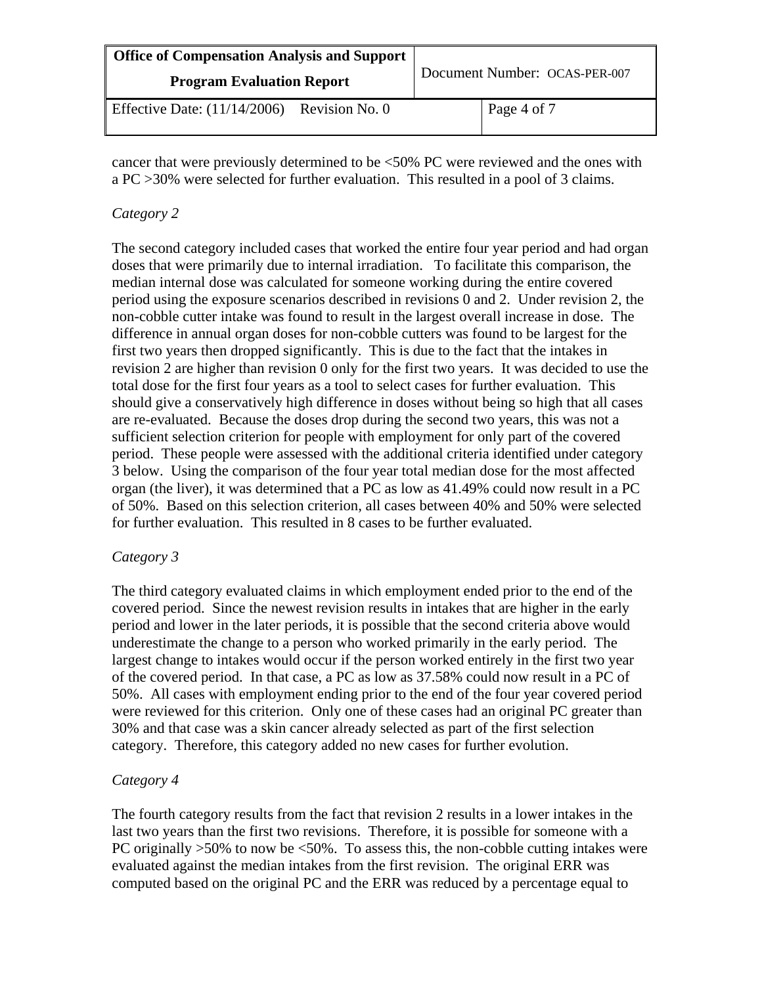| <b>Office of Compensation Analysis and Support</b><br><b>Program Evaluation Report</b> |                | Document Number: OCAS-PER-007 |             |
|----------------------------------------------------------------------------------------|----------------|-------------------------------|-------------|
| Effective Date: $(11/14/2006)$                                                         | Revision No. 0 |                               | Page 4 of 7 |

cancer that were previously determined to be <50% PC were reviewed and the ones with a PC >30% were selected for further evaluation. This resulted in a pool of 3 claims.

### *Category 2*

The second category included cases that worked the entire four year period and had organ doses that were primarily due to internal irradiation. To facilitate this comparison, the median internal dose was calculated for someone working during the entire covered period using the exposure scenarios described in revisions 0 and 2. Under revision 2, the non-cobble cutter intake was found to result in the largest overall increase in dose. The difference in annual organ doses for non-cobble cutters was found to be largest for the first two years then dropped significantly. This is due to the fact that the intakes in revision 2 are higher than revision 0 only for the first two years. It was decided to use the total dose for the first four years as a tool to select cases for further evaluation. This should give a conservatively high difference in doses without being so high that all cases are re-evaluated. Because the doses drop during the second two years, this was not a sufficient selection criterion for people with employment for only part of the covered period. These people were assessed with the additional criteria identified under category 3 below. Using the comparison of the four year total median dose for the most affected organ (the liver), it was determined that a PC as low as 41.49% could now result in a PC of 50%. Based on this selection criterion, all cases between 40% and 50% were selected for further evaluation. This resulted in 8 cases to be further evaluated.

#### *Category 3*

The third category evaluated claims in which employment ended prior to the end of the covered period. Since the newest revision results in intakes that are higher in the early period and lower in the later periods, it is possible that the second criteria above would underestimate the change to a person who worked primarily in the early period. The largest change to intakes would occur if the person worked entirely in the first two year of the covered period. In that case, a PC as low as 37.58% could now result in a PC of 50%. All cases with employment ending prior to the end of the four year covered period were reviewed for this criterion. Only one of these cases had an original PC greater than 30% and that case was a skin cancer already selected as part of the first selection category. Therefore, this category added no new cases for further evolution.

## *Category 4*

The fourth category results from the fact that revision 2 results in a lower intakes in the last two years than the first two revisions. Therefore, it is possible for someone with a PC originally  $>50\%$  to now be  $<50\%$ . To assess this, the non-cobble cutting intakes were evaluated against the median intakes from the first revision. The original ERR was computed based on the original PC and the ERR was reduced by a percentage equal to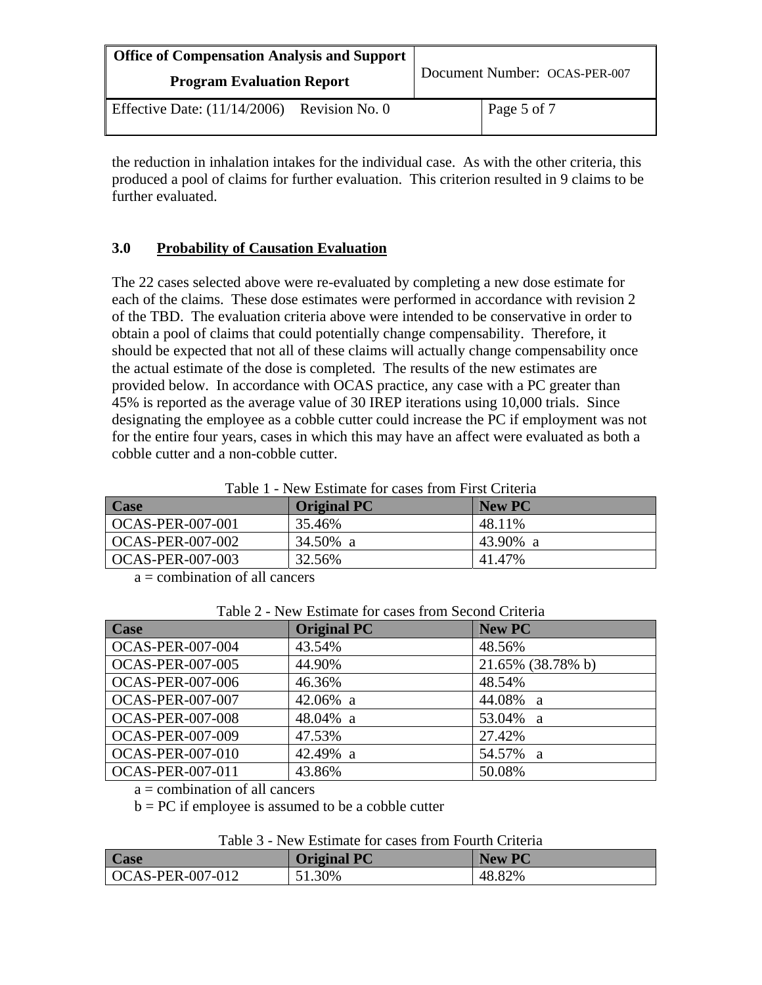| <b>Office of Compensation Analysis and Support</b><br><b>Program Evaluation Report</b> |                | Document Number: OCAS-PER-007 |             |
|----------------------------------------------------------------------------------------|----------------|-------------------------------|-------------|
| Effective Date: $(11/14/2006)$                                                         | Revision No. 0 |                               | Page 5 of 7 |

the reduction in inhalation intakes for the individual case. As with the other criteria, this produced a pool of claims for further evaluation. This criterion resulted in 9 claims to be further evaluated.

## **3.0 Probability of Causation Evaluation**

The 22 cases selected above were re-evaluated by completing a new dose estimate for each of the claims. These dose estimates were performed in accordance with revision 2 of the TBD. The evaluation criteria above were intended to be conservative in order to obtain a pool of claims that could potentially change compensability. Therefore, it should be expected that not all of these claims will actually change compensability once the actual estimate of the dose is completed. The results of the new estimates are provided below. In accordance with OCAS practice, any case with a PC greater than 45% is reported as the average value of 30 IREP iterations using 10,000 trials. Since designating the employee as a cobble cutter could increase the PC if employment was not for the entire four years, cases in which this may have an affect were evaluated as both a cobble cutter and a non-cobble cutter.

|  | Table 1 - New Estimate for cases from First Criteria |
|--|------------------------------------------------------|
|  |                                                      |

| <b>Case</b>             | <b>Original PC</b> | <b>New PC</b> |
|-------------------------|--------------------|---------------|
| OCAS-PER-007-001        | 35.46%             | 48.11%        |
| <b>OCAS-PER-007-002</b> | 34.50% a           | 43.90% a      |
| OCAS-PER-007-003        | 32.56%             | 41.47%        |

a = combination of all cancers

| <u>Tion Louinale for eases home second Cheena</u> |                    |                   |  |
|---------------------------------------------------|--------------------|-------------------|--|
| <b>Case</b>                                       | <b>Original PC</b> | New PC            |  |
| <b>OCAS-PER-007-004</b>                           | 43.54%             | 48.56%            |  |
| <b>OCAS-PER-007-005</b>                           | 44.90%             | 21.65% (38.78% b) |  |
| <b>OCAS-PER-007-006</b>                           | 46.36%             | 48.54%            |  |
| <b>OCAS-PER-007-007</b>                           | $42.06\%$ a        | 44.08% a          |  |
| <b>OCAS-PER-007-008</b>                           | 48.04% a           | 53.04% a          |  |
| <b>OCAS-PER-007-009</b>                           | 47.53%             | 27.42%            |  |
| <b>OCAS-PER-007-010</b>                           | 42.49% a           | 54.57% a          |  |
| <b>OCAS-PER-007-011</b>                           | 43.86%             | 50.08%            |  |

Table 2 - New Estimate for cases from Second Criteria

 $a =$ combination of all cancers

 $b = PC$  if employee is assumed to be a cobble cutter

|  | Table 3 - New Estimate for cases from Fourth Criteria |  |
|--|-------------------------------------------------------|--|
|--|-------------------------------------------------------|--|

| <b>Case</b>              | <b>Original PC</b> | <b>New PC</b> |
|--------------------------|--------------------|---------------|
| $\vert$ OCAS-PER-007-012 | 51.30%             | 48.82%        |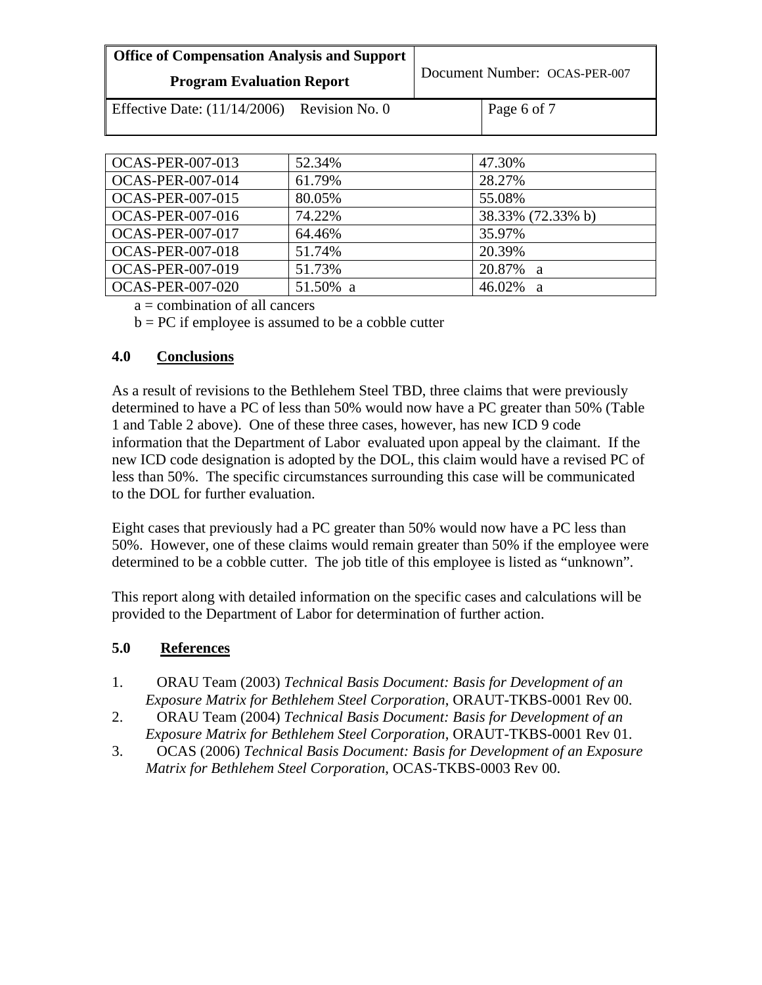| <b>Office of Compensation Analysis and Support</b> |                | Document Number: OCAS-PER-007 |             |
|----------------------------------------------------|----------------|-------------------------------|-------------|
| <b>Program Evaluation Report</b>                   |                |                               |             |
| Effective Date: $(11/14/2006)$                     | Revision No. 0 |                               | Page 6 of 7 |

| <b>OCAS-PER-007-013</b> | 52.34%   | 47.30%            |
|-------------------------|----------|-------------------|
| <b>OCAS-PER-007-014</b> | 61.79%   | 28.27%            |
| <b>OCAS-PER-007-015</b> | 80.05%   | 55.08%            |
| <b>OCAS-PER-007-016</b> | 74.22%   | 38.33% (72.33% b) |
| <b>OCAS-PER-007-017</b> | 64.46%   | 35.97%            |
| <b>OCAS-PER-007-018</b> | 51.74%   | 20.39%            |
| <b>OCAS-PER-007-019</b> | 51.73%   | 20.87% a          |
| <b>OCAS-PER-007-020</b> | 51.50% a | 46.02%<br>- 21    |

a = combination of all cancers

 $b = PC$  if employee is assumed to be a cobble cutter

## **4.0 Conclusions**

As a result of revisions to the Bethlehem Steel TBD, three claims that were previously determined to have a PC of less than 50% would now have a PC greater than 50% (Table 1 and Table 2 above). One of these three cases, however, has new ICD 9 code information that the Department of Labor evaluated upon appeal by the claimant. If the new ICD code designation is adopted by the DOL, this claim would have a revised PC of less than 50%. The specific circumstances surrounding this case will be communicated to the DOL for further evaluation.

Eight cases that previously had a PC greater than 50% would now have a PC less than 50%. However, one of these claims would remain greater than 50% if the employee were determined to be a cobble cutter. The job title of this employee is listed as "unknown".

This report along with detailed information on the specific cases and calculations will be provided to the Department of Labor for determination of further action.

# **5.0 References**

- 1. ORAU Team (2003) *Technical Basis Document: Basis for Development of an Exposure Matrix for Bethlehem Steel Corporation*, ORAUT-TKBS-0001 Rev 00.
- 2. ORAU Team (2004) *Technical Basis Document: Basis for Development of an Exposure Matrix for Bethlehem Steel Corporation*, ORAUT-TKBS-0001 Rev 01.
- 3. OCAS (2006) *Technical Basis Document: Basis for Development of an Exposure Matrix for Bethlehem Steel Corporation*, OCAS-TKBS-0003 Rev 00.